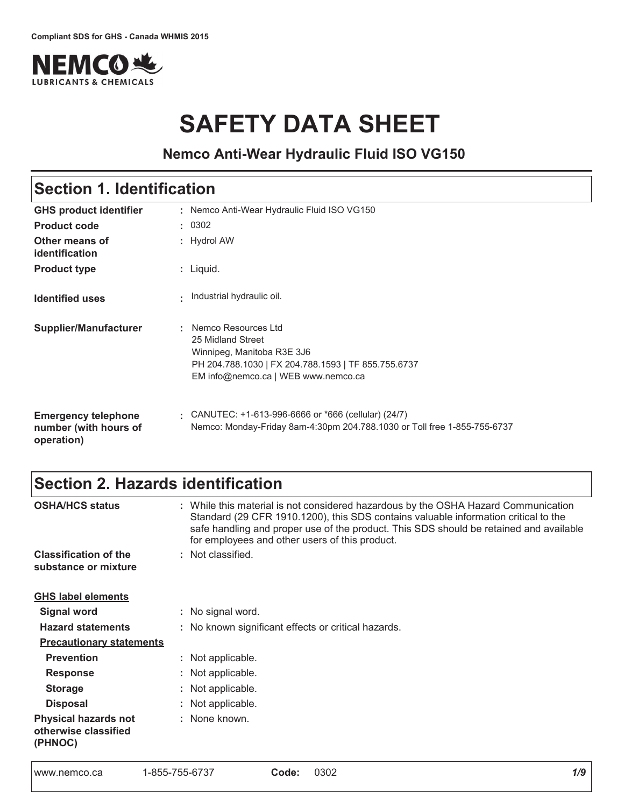

# **SAFETY DATA SHEET**

### **Nemco Anti-Wear Hydraulic Fluid ISO VG150**

### Section 1. Identification

| <b>GHS product identifier</b>                                     |    | : Nemco Anti-Wear Hydraulic Fluid ISO VG150                                                                                                                            |
|-------------------------------------------------------------------|----|------------------------------------------------------------------------------------------------------------------------------------------------------------------------|
| <b>Product code</b>                                               |    | : 0302                                                                                                                                                                 |
| Other means of<br>identification                                  |    | : Hydrol AW                                                                                                                                                            |
| <b>Product type</b>                                               |    | $:$ Liquid.                                                                                                                                                            |
| <b>Identified uses</b>                                            | ÷. | Industrial hydraulic oil.                                                                                                                                              |
| Supplier/Manufacturer                                             |    | : Nemco Resources Ltd<br>25 Midland Street<br>Winnipeg, Manitoba R3E 3J6<br>PH 204.788.1030   FX 204.788.1593   TF 855.755.6737<br>EM info@nemco.ca   WEB www.nemco.ca |
| <b>Emergency telephone</b><br>number (with hours of<br>operation) |    | $\frac{1}{2}$ CANUTEC: +1-613-996-6666 or *666 (cellular) (24/7)<br>Nemco: Monday-Friday 8am-4:30pm 204.788.1030 or Toll free 1-855-755-6737                           |

### Section 2. Hazards identification

| <b>OSHA/HCS status</b>                                         | : While this material is not considered hazardous by the OSHA Hazard Communication<br>Standard (29 CFR 1910.1200), this SDS contains valuable information critical to the<br>safe handling and proper use of the product. This SDS should be retained and available<br>for employees and other users of this product. |
|----------------------------------------------------------------|-----------------------------------------------------------------------------------------------------------------------------------------------------------------------------------------------------------------------------------------------------------------------------------------------------------------------|
| <b>Classification of the</b>                                   | : Not classified.                                                                                                                                                                                                                                                                                                     |
| substance or mixture                                           |                                                                                                                                                                                                                                                                                                                       |
| <b>GHS label elements</b>                                      |                                                                                                                                                                                                                                                                                                                       |
| <b>Signal word</b>                                             | : No signal word.                                                                                                                                                                                                                                                                                                     |
| <b>Hazard statements</b>                                       | : No known significant effects or critical hazards.                                                                                                                                                                                                                                                                   |
| <b>Precautionary statements</b>                                |                                                                                                                                                                                                                                                                                                                       |
| <b>Prevention</b>                                              | : Not applicable.                                                                                                                                                                                                                                                                                                     |
| <b>Response</b>                                                | : Not applicable.                                                                                                                                                                                                                                                                                                     |
| <b>Storage</b>                                                 | : Not applicable.                                                                                                                                                                                                                                                                                                     |
| <b>Disposal</b>                                                | : Not applicable.                                                                                                                                                                                                                                                                                                     |
| <b>Physical hazards not</b><br>otherwise classified<br>(PHNOC) | : None known.                                                                                                                                                                                                                                                                                                         |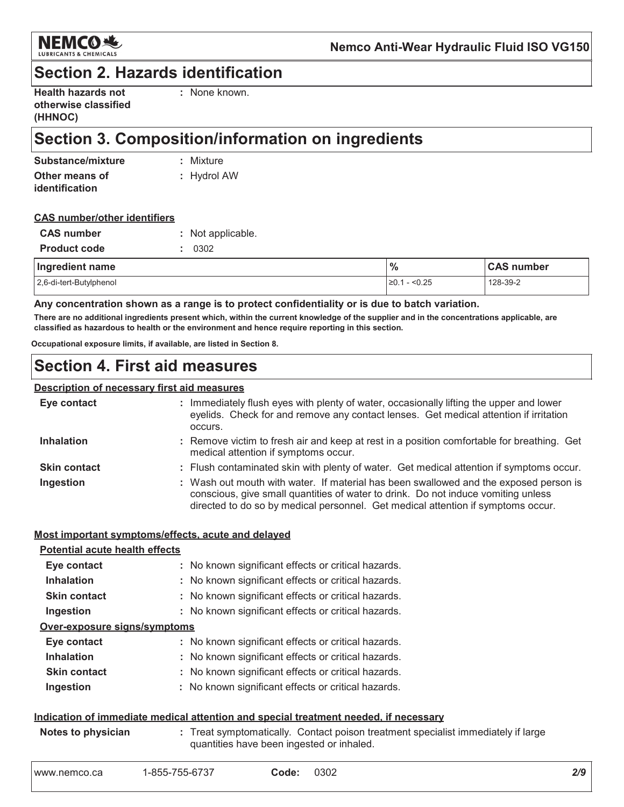

### **Section 2. Hazards identification**

| <b>Health hazards not</b> |  |
|---------------------------|--|
| otherwise classified      |  |
| (HHNOC)                   |  |

: None known.

### Section 3. Composition/information on ingredients

| Substance/mixture | : Mixture     |
|-------------------|---------------|
| Other means of    | $:$ Hydrol AW |
| identification    |               |

| <b>CAS number/other identifiers</b> |  |
|-------------------------------------|--|
|                                     |  |

| <b>CAS</b> number   | : Not applicable. |
|---------------------|-------------------|
| <b>Product code</b> | : 0.302           |

| Ingredient name         | $\frac{9}{6}$          | <b>CAS number</b> |
|-------------------------|------------------------|-------------------|
| 2,6-di-tert-Butylphenol | $\geq 0.1 - \leq 0.25$ | 128-39-2          |

Any concentration shown as a range is to protect confidentiality or is due to batch variation.

There are no additional ingredients present which, within the current knowledge of the supplier and in the concentrations applicable, are classified as hazardous to health or the environment and hence require reporting in this section.

Occupational exposure limits, if available, are listed in Section 8.

### **Section 4. First aid measures**

#### **Description of necessary first aid measures**

| Eye contact         | : Immediately flush eyes with plenty of water, occasionally lifting the upper and lower<br>eyelids. Check for and remove any contact lenses. Get medical attention if irritation<br>occurs.                                                                    |
|---------------------|----------------------------------------------------------------------------------------------------------------------------------------------------------------------------------------------------------------------------------------------------------------|
| <b>Inhalation</b>   | : Remove victim to fresh air and keep at rest in a position comfortable for breathing. Get<br>medical attention if symptoms occur.                                                                                                                             |
| <b>Skin contact</b> | : Flush contaminated skin with plenty of water. Get medical attention if symptoms occur.                                                                                                                                                                       |
| Ingestion           | : Wash out mouth with water. If material has been swallowed and the exposed person is<br>conscious, give small quantities of water to drink. Do not induce vomiting unless<br>directed to do so by medical personnel. Get medical attention if symptoms occur. |

#### Most important symptoms/effects, acute and delayed

| <b>Potential acute health effects</b> |                                                     |
|---------------------------------------|-----------------------------------------------------|
| Eye contact                           | : No known significant effects or critical hazards. |
| <b>Inhalation</b>                     | : No known significant effects or critical hazards. |
| <b>Skin contact</b>                   | : No known significant effects or critical hazards. |
| Ingestion                             | : No known significant effects or critical hazards. |
| Over-exposure signs/symptoms          |                                                     |
| Eye contact                           | : No known significant effects or critical hazards. |
| <b>Inhalation</b>                     | : No known significant effects or critical hazards. |
| <b>Skin contact</b>                   | : No known significant effects or critical hazards. |
| Ingestion                             | : No known significant effects or critical hazards. |
|                                       |                                                     |

#### Indication of immediate medical attention and special treatment needed, if necessary

| Notes to physician | Treat symptomatically. Contact poison treatment specialist immediately if large |
|--------------------|---------------------------------------------------------------------------------|
|                    | quantities have been ingested or inhaled.                                       |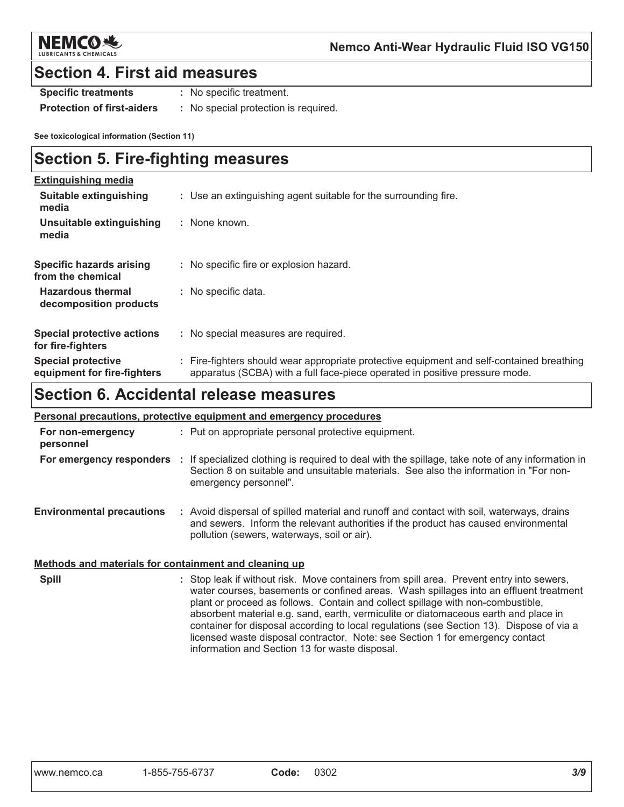

### **Section 4. First aid measures**

**Specific treatments** : No specific treatment.

**Protection of first-aiders** : No special protection is required.

See toxicological information (Section 11)

### **Section 5. Fire-fighting measures**

| <b>Extinguishing media</b>                               |                                                                                                                                                                          |
|----------------------------------------------------------|--------------------------------------------------------------------------------------------------------------------------------------------------------------------------|
| <b>Suitable extinguishing</b><br>media                   | : Use an extinguishing agent suitable for the surrounding fire.                                                                                                          |
| Unsuitable extinguishing<br>media                        | : None known.                                                                                                                                                            |
| Specific hazards arising<br>from the chemical            | : No specific fire or explosion hazard.                                                                                                                                  |
| <b>Hazardous thermal</b><br>decomposition products       | : No specific data.                                                                                                                                                      |
| <b>Special protective actions</b><br>for fire-fighters   | : No special measures are required.                                                                                                                                      |
| <b>Special protective</b><br>equipment for fire-fighters | : Fire-fighters should wear appropriate protective equipment and self-contained breathing<br>apparatus (SCBA) with a full face-piece operated in positive pressure mode. |

### **Section 6. Accidental release measures**

| Personal precautions, protective equipment and emergency procedures |  |                                                                                                                                                                                                                                             |
|---------------------------------------------------------------------|--|---------------------------------------------------------------------------------------------------------------------------------------------------------------------------------------------------------------------------------------------|
| For non-emergency<br>personnel                                      |  | : Put on appropriate personal protective equipment.                                                                                                                                                                                         |
|                                                                     |  | For emergency responders : If specialized clothing is required to deal with the spillage, take note of any information in<br>Section 8 on suitable and unsuitable materials. See also the information in "For non-<br>emergency personnel". |
| <b>Environmental precautions</b>                                    |  | : Avoid dispersal of spilled material and runoff and contact with soil, waterways, drains<br>and sewers. Inform the relevant authorities if the product has caused environmental<br>pollution (sewers, waterways, soil or air).             |

#### Methods and materials for containment and cleaning up

**Spill** : Stop leak if without risk. Move containers from spill area. Prevent entry into sewers, water courses, basements or confined areas. Wash spillages into an effluent treatment plant or proceed as follows. Contain and collect spillage with non-combustible, absorbent material e.g. sand, earth, vermiculite or diatomaceous earth and place in container for disposal according to local regulations (see Section 13). Dispose of via a licensed waste disposal contractor. Note: see Section 1 for emergency contact information and Section 13 for waste disposal.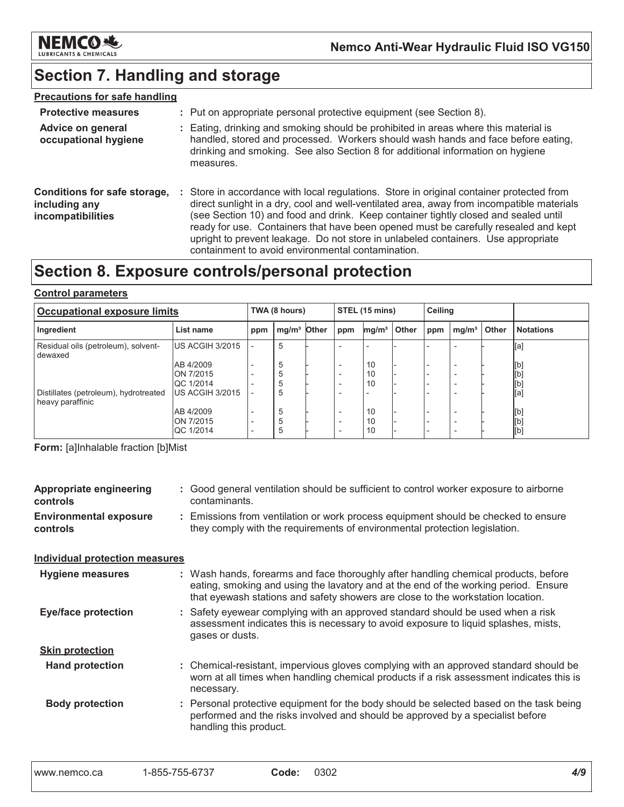

# Section 7. Handling and storage

### **Precautions for safe handling**

| <b>Protective measures</b>                                         | : Put on appropriate personal protective equipment (see Section 8).                                                                                                                                                                                                                                                                                                                                                                                                                                           |
|--------------------------------------------------------------------|---------------------------------------------------------------------------------------------------------------------------------------------------------------------------------------------------------------------------------------------------------------------------------------------------------------------------------------------------------------------------------------------------------------------------------------------------------------------------------------------------------------|
| <b>Advice on general</b><br>occupational hygiene                   | : Eating, drinking and smoking should be prohibited in areas where this material is<br>handled, stored and processed. Workers should wash hands and face before eating,<br>drinking and smoking. See also Section 8 for additional information on hygiene<br>measures.                                                                                                                                                                                                                                        |
| Conditions for safe storage,<br>including any<br>incompatibilities | : Store in accordance with local regulations. Store in original container protected from<br>direct sunlight in a dry, cool and well-ventilated area, away from incompatible materials<br>(see Section 10) and food and drink. Keep container tightly closed and sealed until<br>ready for use. Containers that have been opened must be carefully resealed and kept<br>upright to prevent leakage. Do not store in unlabeled containers. Use appropriate<br>containment to avoid environmental contamination. |

### Section 8. Exposure controls/personal protection

#### **Control parameters**

| Occupational exposure limits                              |                               |     | TWA (8 hours)           |  |                                                      | STEL (15 mins)    |       |     | <b>Ceiling</b>    |       |                  |
|-----------------------------------------------------------|-------------------------------|-----|-------------------------|--|------------------------------------------------------|-------------------|-------|-----|-------------------|-------|------------------|
| Ingredient                                                | List name                     | ppm | mg/m <sup>3</sup> Other |  | ppm                                                  | mg/m <sup>3</sup> | Other | ppm | mg/m <sup>3</sup> | Other | <b>Notations</b> |
| Residual oils (petroleum), solvent-<br>dewaxed            | US ACGIH 3/2015               |     | 5                       |  |                                                      |                   |       |     |                   |       | [a]              |
|                                                           | AB 4/2009                     |     | 5                       |  | $\overline{\phantom{0}}$                             | 10                |       |     | -                 |       | [b]              |
|                                                           | ON 7/2015<br>QC 1/2014        |     | 5<br>5                  |  | $\overline{\phantom{0}}$<br>$\overline{\phantom{0}}$ | 10<br>10          |       |     | -                 |       | [b]<br>[b]       |
| Distillates (petroleum), hydrotreated<br>heavy paraffinic | <b>US ACGIH 3/2015</b>        |     | 5                       |  |                                                      |                   |       |     |                   |       | [a]              |
|                                                           | AB 4/2009                     |     | 5                       |  | $\overline{\phantom{0}}$                             | 10                |       |     | -                 |       | [b]              |
|                                                           | ON 7/2015<br><b>QC 1/2014</b> |     | 5<br>5                  |  | $\overline{\phantom{0}}$<br>$\overline{\phantom{0}}$ | 10<br>10          |       |     | -<br>-            |       | [b]<br>[b]       |

Form: [a]Inhalable fraction [b]Mist

| <b>Appropriate engineering</b><br>controls | : Good general ventilation should be sufficient to control worker exposure to airborne<br>contaminants.                                                                                                                                                       |
|--------------------------------------------|---------------------------------------------------------------------------------------------------------------------------------------------------------------------------------------------------------------------------------------------------------------|
| <b>Environmental exposure</b><br>controls  | : Emissions from ventilation or work process equipment should be checked to ensure<br>they comply with the requirements of environmental protection legislation.                                                                                              |
| <b>Individual protection measures</b>      |                                                                                                                                                                                                                                                               |
| <b>Hygiene measures</b>                    | : Wash hands, forearms and face thoroughly after handling chemical products, before<br>eating, smoking and using the lavatory and at the end of the working period. Ensure<br>that eyewash stations and safety showers are close to the workstation location. |
| <b>Eye/face protection</b>                 | : Safety eyewear complying with an approved standard should be used when a risk<br>assessment indicates this is necessary to avoid exposure to liquid splashes, mists,<br>gases or dusts.                                                                     |
| <b>Skin protection</b>                     |                                                                                                                                                                                                                                                               |
| <b>Hand protection</b>                     | : Chemical-resistant, impervious gloves complying with an approved standard should be<br>worn at all times when handling chemical products if a risk assessment indicates this is<br>necessary.                                                               |
| <b>Body protection</b>                     | : Personal protective equipment for the body should be selected based on the task being<br>performed and the risks involved and should be approved by a specialist before<br>handling this product.                                                           |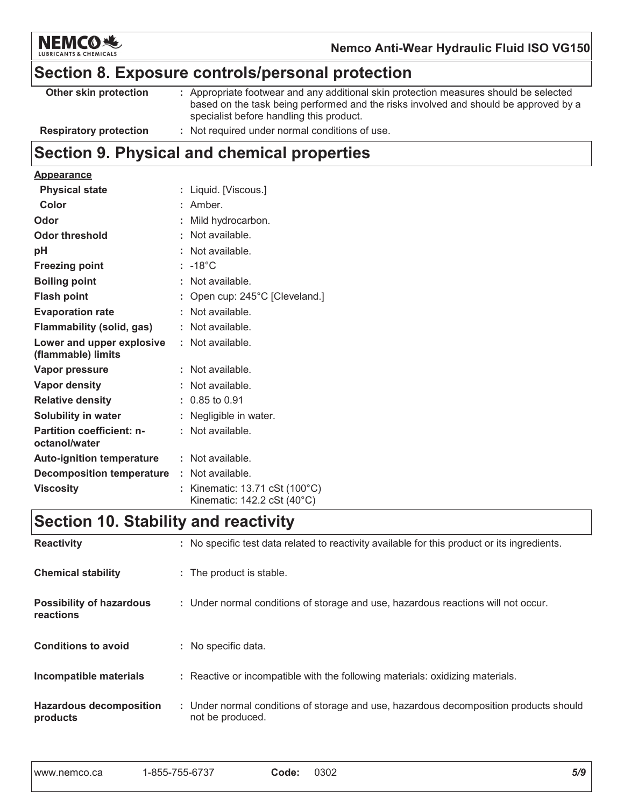

## Section 8. Exposure controls/personal protection

| Other skin protection         | : Appropriate footwear and any additional skin protection measures should be selected<br>based on the task being performed and the risks involved and should be approved by a<br>specialist before handling this product. |
|-------------------------------|---------------------------------------------------------------------------------------------------------------------------------------------------------------------------------------------------------------------------|
| <b>Respiratory protection</b> | Not required under normal conditions of use.                                                                                                                                                                              |

# Section 9. Physical and chemical properties

#### **Appearance**

| <b>Physical state</b>                             | : Liquid. [Viscous.]                                                                   |
|---------------------------------------------------|----------------------------------------------------------------------------------------|
| Color                                             | : Amber.                                                                               |
| Odor                                              | : Mild hydrocarbon.                                                                    |
| <b>Odor threshold</b>                             | : Not available.                                                                       |
| pH                                                | : Not available.                                                                       |
| <b>Freezing point</b>                             | $: -18^{\circ}$ C                                                                      |
| <b>Boiling point</b>                              | $:$ Not available.                                                                     |
| <b>Flash point</b>                                | : Open cup: 245°C [Cleveland.]                                                         |
| <b>Evaporation rate</b>                           | : Not available.                                                                       |
| Flammability (solid, gas)                         | : Not available.                                                                       |
| Lower and upper explosive<br>(flammable) limits   | $:$ Not available.                                                                     |
| Vapor pressure                                    | $:$ Not available.                                                                     |
| Vapor density                                     | : Not available.                                                                       |
| <b>Relative density</b>                           | $: 0.85$ to 0.91                                                                       |
| Solubility in water                               | : Negligible in water.                                                                 |
| <b>Partition coefficient: n-</b><br>octanol/water | : Not available.                                                                       |
| <b>Auto-ignition temperature</b>                  | $:$ Not available.                                                                     |
| <b>Decomposition temperature : Not available.</b> |                                                                                        |
| <b>Viscosity</b>                                  | : Kinematic: $13.71 \text{ cSt} (100^{\circ} \text{C})$<br>Kinematic: 142.2 cSt (40°C) |

# Section 10. Stability and reactivity

| <b>Reactivity</b>                            | : No specific test data related to reactivity available for this product or its ingredients.              |
|----------------------------------------------|-----------------------------------------------------------------------------------------------------------|
| <b>Chemical stability</b>                    | : The product is stable.                                                                                  |
| <b>Possibility of hazardous</b><br>reactions | : Under normal conditions of storage and use, hazardous reactions will not occur.                         |
| <b>Conditions to avoid</b>                   | : No specific data.                                                                                       |
| Incompatible materials                       | : Reactive or incompatible with the following materials: oxidizing materials.                             |
| <b>Hazardous decomposition</b><br>products   | : Under normal conditions of storage and use, hazardous decomposition products should<br>not be produced. |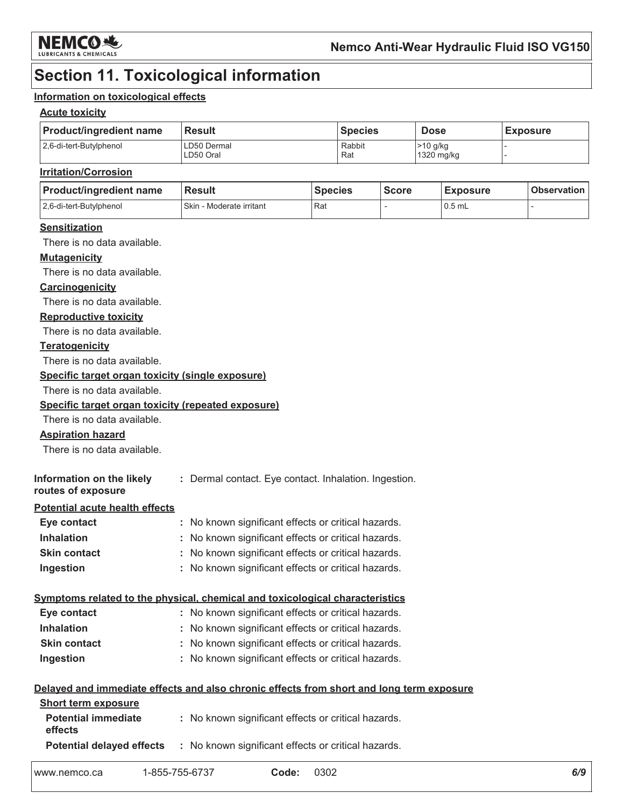

### **Section 11. Toxicological information**

#### Information on toxicological effects

#### **Acute toxicity**

| <b>Product/ingredient name</b> | <b>Result</b>            | <b>Species</b> | <b>Dose</b>            | <b>Exposure</b> |
|--------------------------------|--------------------------|----------------|------------------------|-----------------|
| 2.6-di-tert-Butylphenol        | LD50 Dermal<br>LD50 Oral | Rabbit<br>Rat  | >10 g/kg<br>1320 mg/kg |                 |

#### **Irritation/Corrosion**

| <b>Product/ingredient name</b> | <b>Result</b>            | <b>Species</b> | <b>Score</b> | <b>Exposure</b> | <b>Observation</b> |
|--------------------------------|--------------------------|----------------|--------------|-----------------|--------------------|
| 2.6-di-tert-Butylphenol        | Skin - Moderate irritant | Rat            |              | $0.5$ mL        |                    |

#### **Sensitization**

There is no data available.

#### **Mutagenicity**

There is no data available.

#### Carcinogenicity

There is no data available.

#### **Reproductive toxicity**

There is no data available.

#### **Teratogenicity**

There is no data available.

#### Specific target organ toxicity (single exposure)

There is no data available.

#### Specific target organ toxicity (repeated exposure)

There is no data available.

#### **Aspiration hazard**

There is no data available.

| Information on the likely | : Dermal contact. Eye contact. Inhalation. Ingestion. |
|---------------------------|-------------------------------------------------------|
| routes of exposure        |                                                       |

#### **Potential acute health effects**

| Eye contact         | : No known significant effects or critical hazards. |
|---------------------|-----------------------------------------------------|
| <b>Inhalation</b>   | : No known significant effects or critical hazards. |
| <b>Skin contact</b> | : No known significant effects or critical hazards. |
| Ingestion           | : No known significant effects or critical hazards. |

#### Symptoms related to the physical, chemical and toxicological characteristics

| Eye contact         | : No known significant effects or critical hazards. |
|---------------------|-----------------------------------------------------|
| <b>Inhalation</b>   | : No known significant effects or critical hazards. |
| <b>Skin contact</b> | : No known significant effects or critical hazards. |
| Ingestion           | : No known significant effects or critical hazards. |

|                                       | Delayed and immediate effects and also chronic effects from short and long term exposure |
|---------------------------------------|------------------------------------------------------------------------------------------|
| <b>Short term exposure</b>            |                                                                                          |
| <b>Potential immediate</b><br>effects | : No known significant effects or critical hazards.                                      |
| <b>Potential delayed effects</b>      | : No known significant effects or critical hazards.                                      |

| www.nemco.ca | 1-855-755-6737 | Code: | 0302 |  | O/ |
|--------------|----------------|-------|------|--|----|
|--------------|----------------|-------|------|--|----|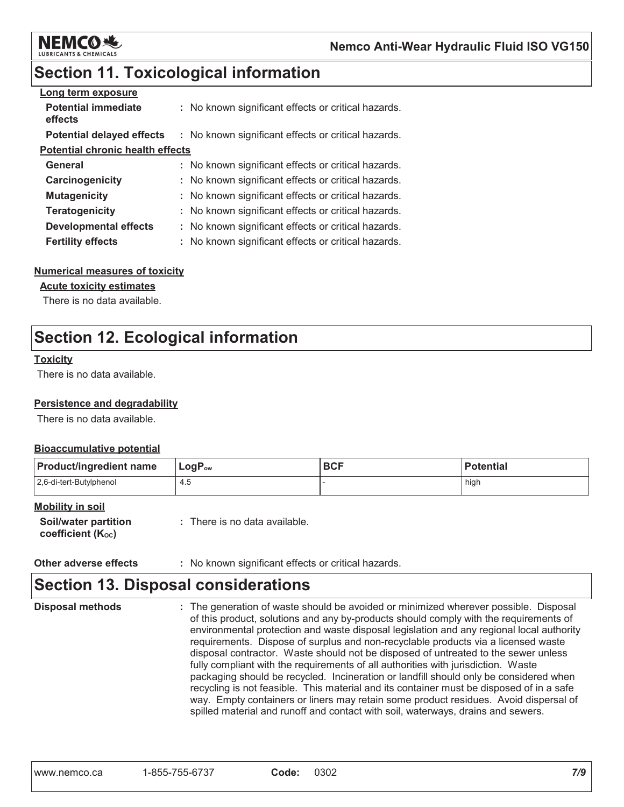

### **Section 11. Toxicological information**

| Long term exposure                      |                                                     |
|-----------------------------------------|-----------------------------------------------------|
| <b>Potential immediate</b><br>effects   | : No known significant effects or critical hazards. |
| <b>Potential delayed effects</b>        | : No known significant effects or critical hazards. |
| <b>Potential chronic health effects</b> |                                                     |
| General                                 | : No known significant effects or critical hazards. |
| Carcinogenicity                         | : No known significant effects or critical hazards. |
| <b>Mutagenicity</b>                     | : No known significant effects or critical hazards. |
| <b>Teratogenicity</b>                   | : No known significant effects or critical hazards. |
| Developmental effects                   | : No known significant effects or critical hazards. |
| <b>Fertility effects</b>                | : No known significant effects or critical hazards. |

#### **Numerical measures of toxicity**

#### **Acute toxicity estimates**

There is no data available.

### **Section 12. Ecological information**

#### **Toxicity**

There is no data available.

#### Persistence and degradability

There is no data available.

#### **Bioaccumulative potential**

| <b>Product/ingredient name</b> | $\mathsf{LogP}_\mathsf{ow}$ | <b>BCF</b> | <b>Potential</b> |
|--------------------------------|-----------------------------|------------|------------------|
| 2,6-di-tert-Butylphenol        | 4.5                         |            | high             |

#### **Mobility in soil**

| <b>Soil/water partition</b> | : There is no data available. |
|-----------------------------|-------------------------------|
| coefficient $(K_{oc})$      |                               |

| Other adverse effects |  |  | : No known significant effects or critical hazards. |  |  |  |  |
|-----------------------|--|--|-----------------------------------------------------|--|--|--|--|
|-----------------------|--|--|-----------------------------------------------------|--|--|--|--|

### **Section 13. Disposal considerations**

```
Disposal methods
                    : The generation of waste should be avoided or minimized wherever possible. Disposal
                      of this product, solutions and any by-products should comply with the requirements of
                      environmental protection and waste disposal legislation and any regional local authority
                      requirements. Dispose of surplus and non-recyclable products via a licensed waste
                      disposal contractor. Waste should not be disposed of untreated to the sewer unless
                      fully compliant with the requirements of all authorities with jurisdiction. Waste
                      packaging should be recycled. Incineration or landfill should only be considered when
                      recycling is not feasible. This material and its container must be disposed of in a safe
                      way. Empty containers or liners may retain some product residues. Avoid dispersal of
                      spilled material and runoff and contact with soil, waterways, drains and sewers.
```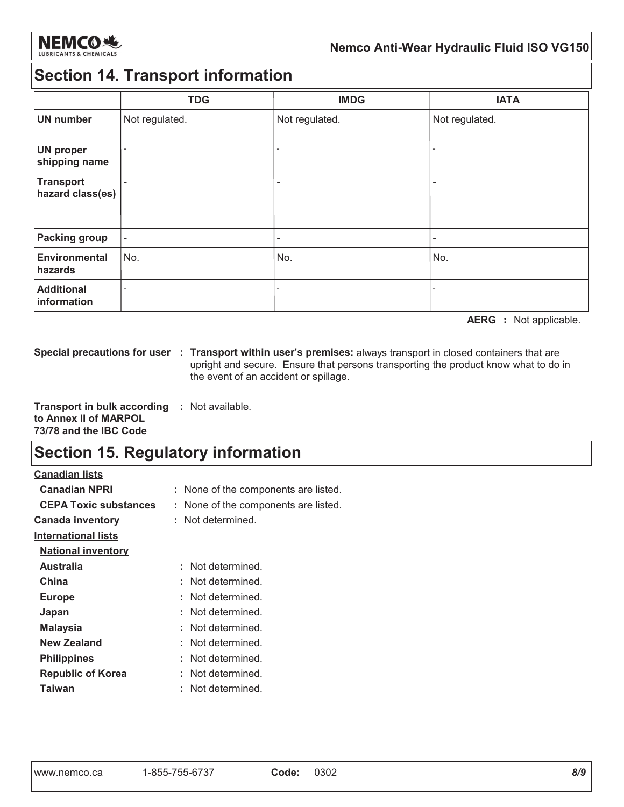

### Nemco Anti-Wear Hydraulic Fluid ISO VG150

### **Section 14. Transport information**

|                                      | <b>TDG</b>               | <b>IMDG</b>              | <b>IATA</b>              |
|--------------------------------------|--------------------------|--------------------------|--------------------------|
| <b>UN number</b>                     | Not regulated.           | Not regulated.           | Not regulated.           |
| <b>UN proper</b><br>shipping name    |                          | $\overline{\phantom{0}}$ |                          |
| <b>Transport</b><br>hazard class(es) | $\overline{\phantom{a}}$ | ۰                        | $\overline{\phantom{0}}$ |
| <b>Packing group</b>                 | $\overline{\phantom{a}}$ | -                        | $\overline{\phantom{a}}$ |
| Environmental<br>hazards             | No.                      | No.                      | No.                      |
| <b>Additional</b><br>information     |                          |                          |                          |

AERG : Not applicable.

Special precautions for user : Transport within user's premises: always transport in closed containers that are upright and secure. Ensure that persons transporting the product know what to do in the event of an accident or spillage.

**Transport in bulk according : Not available.** to Annex II of MARPOL 73/78 and the IBC Code

### **Section 15. Regulatory information**

**Canadian lists** 

| <b>Canadian NPRI</b>         | : None of the components are listed. |
|------------------------------|--------------------------------------|
| <b>CEPA Toxic substances</b> | None of the components are listed.   |
| <b>Canada inventory</b>      | Not determined.                      |
| <u>International lists</u>   |                                      |
| <b>National inventory</b>    |                                      |
| Australia                    | : Not determined.                    |
| China                        | : Not determined.                    |
| <b>Europe</b>                | : Not determined.                    |
| Japan                        | : Not determined.                    |
| <b>Malaysia</b>              | : Not determined.                    |
| <b>New Zealand</b>           | Not determined.                      |
| <b>Philippines</b>           | : Not determined.                    |
| <b>Republic of Korea</b>     | : Not determined.                    |
| Taiwan                       | Not determined.                      |
|                              |                                      |